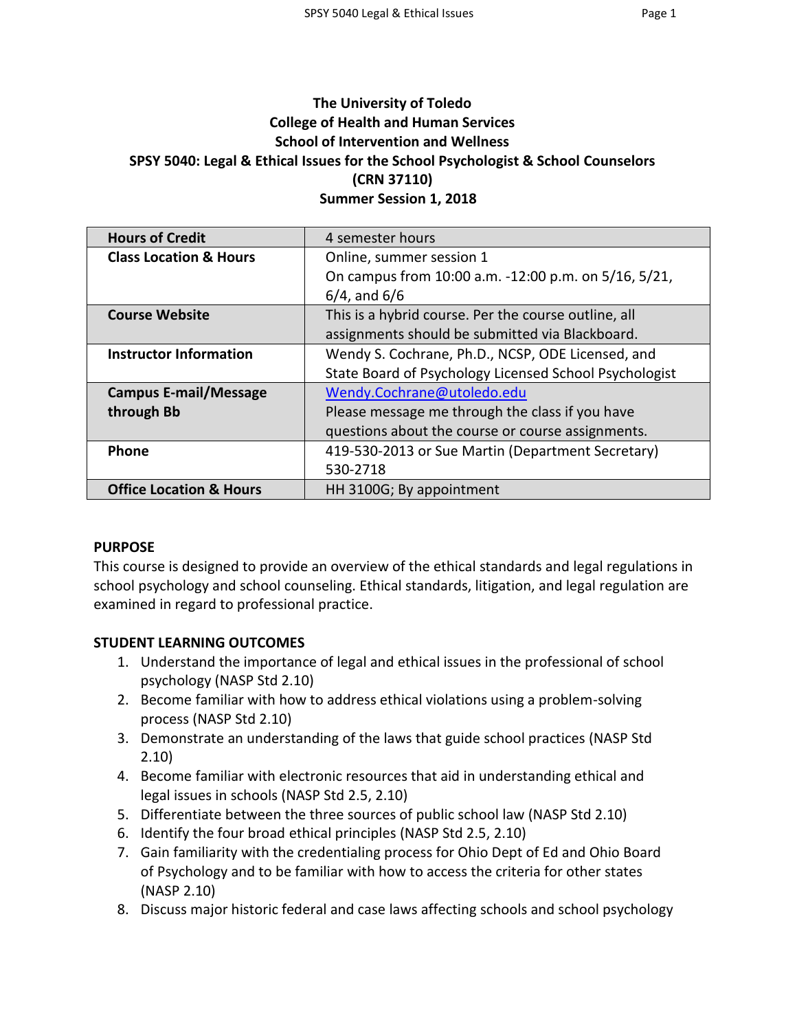# **The University of Toledo College of Health and Human Services School of Intervention and Wellness SPSY 5040: Legal & Ethical Issues for the School Psychologist & School Counselors (CRN 37110) Summer Session 1, 2018**

| <b>Hours of Credit</b>             | 4 semester hours                                       |  |  |
|------------------------------------|--------------------------------------------------------|--|--|
| <b>Class Location &amp; Hours</b>  | Online, summer session 1                               |  |  |
|                                    | On campus from 10:00 a.m. -12:00 p.m. on 5/16, 5/21,   |  |  |
|                                    | $6/4$ , and $6/6$                                      |  |  |
| <b>Course Website</b>              | This is a hybrid course. Per the course outline, all   |  |  |
|                                    | assignments should be submitted via Blackboard.        |  |  |
| <b>Instructor Information</b>      | Wendy S. Cochrane, Ph.D., NCSP, ODE Licensed, and      |  |  |
|                                    | State Board of Psychology Licensed School Psychologist |  |  |
| <b>Campus E-mail/Message</b>       | Wendy.Cochrane@utoledo.edu                             |  |  |
| through Bb                         | Please message me through the class if you have        |  |  |
|                                    | questions about the course or course assignments.      |  |  |
| Phone                              | 419-530-2013 or Sue Martin (Department Secretary)      |  |  |
|                                    | 530-2718                                               |  |  |
| <b>Office Location &amp; Hours</b> | HH 3100G; By appointment                               |  |  |

#### **PURPOSE**

This course is designed to provide an overview of the ethical standards and legal regulations in school psychology and school counseling. Ethical standards, litigation, and legal regulation are examined in regard to professional practice.

#### **STUDENT LEARNING OUTCOMES**

- 1. Understand the importance of legal and ethical issues in the professional of school psychology (NASP Std 2.10)
- 2. Become familiar with how to address ethical violations using a problem-solving process (NASP Std 2.10)
- 3. Demonstrate an understanding of the laws that guide school practices (NASP Std 2.10)
- 4. Become familiar with electronic resources that aid in understanding ethical and legal issues in schools (NASP Std 2.5, 2.10)
- 5. Differentiate between the three sources of public school law (NASP Std 2.10)
- 6. Identify the four broad ethical principles (NASP Std 2.5, 2.10)
- 7. Gain familiarity with the credentialing process for Ohio Dept of Ed and Ohio Board of Psychology and to be familiar with how to access the criteria for other states (NASP 2.10)
- 8. Discuss major historic federal and case laws affecting schools and school psychology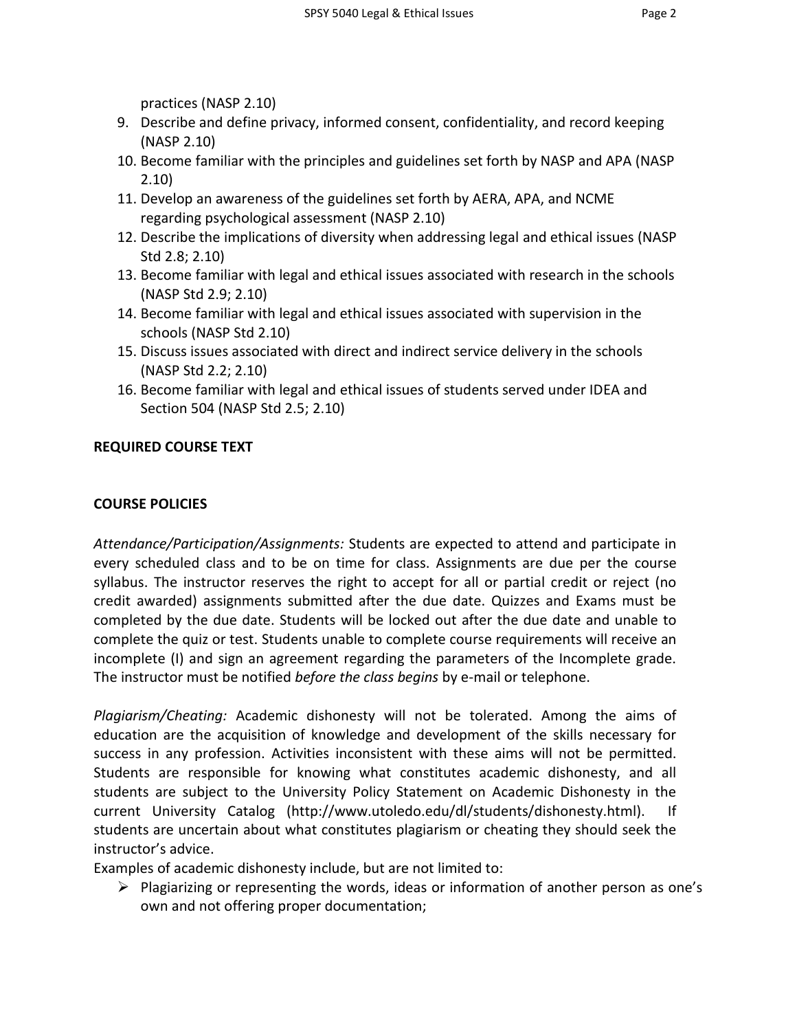practices (NASP 2.10)

- 9. Describe and define privacy, informed consent, confidentiality, and record keeping (NASP 2.10)
- 10. Become familiar with the principles and guidelines set forth by NASP and APA (NASP 2.10)
- 11. Develop an awareness of the guidelines set forth by AERA, APA, and NCME regarding psychological assessment (NASP 2.10)
- 12. Describe the implications of diversity when addressing legal and ethical issues (NASP Std 2.8; 2.10)
- 13. Become familiar with legal and ethical issues associated with research in the schools (NASP Std 2.9; 2.10)
- 14. Become familiar with legal and ethical issues associated with supervision in the schools (NASP Std 2.10)
- 15. Discuss issues associated with direct and indirect service delivery in the schools (NASP Std 2.2; 2.10)
- 16. Become familiar with legal and ethical issues of students served under IDEA and Section 504 (NASP Std 2.5; 2.10)

### **REQUIRED COURSE TEXT**

#### **COURSE POLICIES**

*Attendance/Participation/Assignments:* Students are expected to attend and participate in every scheduled class and to be on time for class. Assignments are due per the course syllabus. The instructor reserves the right to accept for all or partial credit or reject (no credit awarded) assignments submitted after the due date. Quizzes and Exams must be completed by the due date. Students will be locked out after the due date and unable to complete the quiz or test. Students unable to complete course requirements will receive an incomplete (I) and sign an agreement regarding the parameters of the Incomplete grade. The instructor must be notified *before the class begins* by e-mail or telephone.

*Plagiarism/Cheating:* Academic dishonesty will not be tolerated. Among the aims of education are the acquisition of knowledge and development of the skills necessary for success in any profession. Activities inconsistent with these aims will not be permitted. Students are responsible for knowing what constitutes academic dishonesty, and all students are subject to the University Policy Statement on Academic Dishonesty in the current University Catalog (http://www.utoledo.edu/dl/students/dishonesty.html). If students are uncertain about what constitutes plagiarism or cheating they should seek the instructor's advice.

Examples of academic dishonesty include, but are not limited to:

 $\triangleright$  Plagiarizing or representing the words, ideas or information of another person as one's own and not offering proper documentation;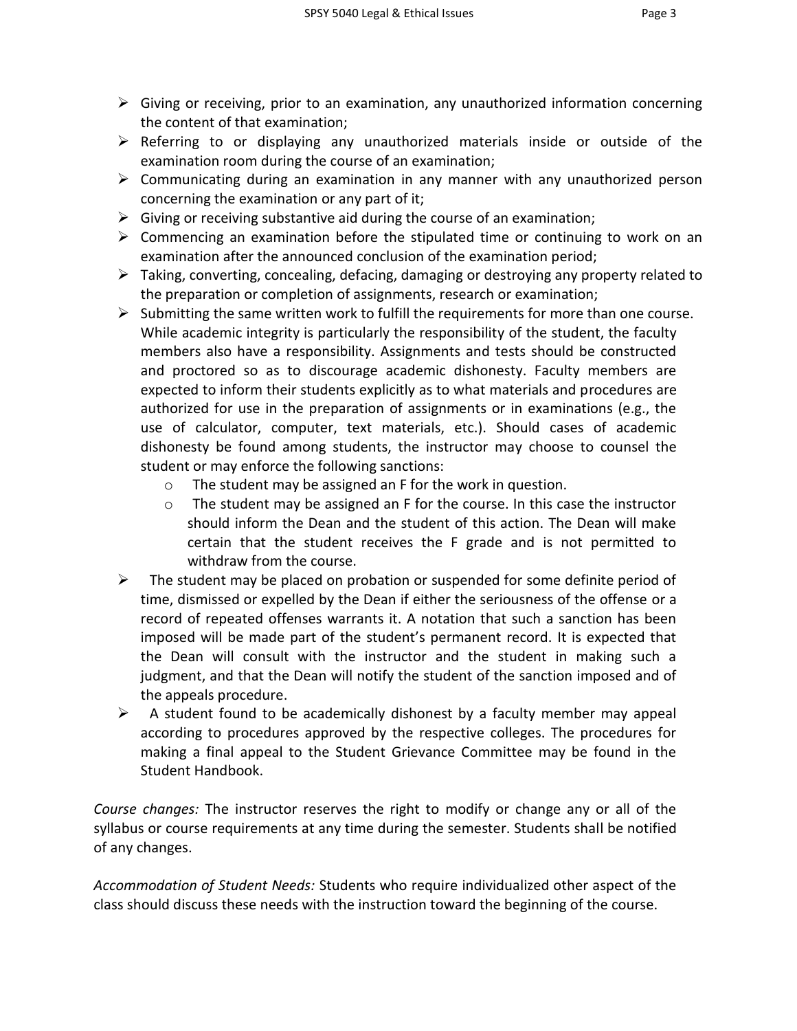- 
- $\triangleright$  Giving or receiving, prior to an examination, any unauthorized information concerning the content of that examination;
- $\triangleright$  Referring to or displaying any unauthorized materials inside or outside of the examination room during the course of an examination;
- $\triangleright$  Communicating during an examination in any manner with any unauthorized person concerning the examination or any part of it;
- $\triangleright$  Giving or receiving substantive aid during the course of an examination;
- $\triangleright$  Commencing an examination before the stipulated time or continuing to work on an examination after the announced conclusion of the examination period;
- $\triangleright$  Taking, converting, concealing, defacing, damaging or destroying any property related to the preparation or completion of assignments, research or examination;
- $\triangleright$  Submitting the same written work to fulfill the requirements for more than one course. While academic integrity is particularly the responsibility of the student, the faculty members also have a responsibility. Assignments and tests should be constructed and proctored so as to discourage academic dishonesty. Faculty members are expected to inform their students explicitly as to what materials and procedures are authorized for use in the preparation of assignments or in examinations (e.g., the use of calculator, computer, text materials, etc.). Should cases of academic dishonesty be found among students, the instructor may choose to counsel the student or may enforce the following sanctions:
	- o The student may be assigned an F for the work in question.
	- $\circ$  The student may be assigned an F for the course. In this case the instructor should inform the Dean and the student of this action. The Dean will make certain that the student receives the F grade and is not permitted to withdraw from the course.
- $\triangleright$  The student may be placed on probation or suspended for some definite period of time, dismissed or expelled by the Dean if either the seriousness of the offense or a record of repeated offenses warrants it. A notation that such a sanction has been imposed will be made part of the student's permanent record. It is expected that the Dean will consult with the instructor and the student in making such a judgment, and that the Dean will notify the student of the sanction imposed and of the appeals procedure.
- $\triangleright$  A student found to be academically dishonest by a faculty member may appeal according to procedures approved by the respective colleges. The procedures for making a final appeal to the Student Grievance Committee may be found in the Student Handbook.

*Course changes:* The instructor reserves the right to modify or change any or all of the syllabus or course requirements at any time during the semester. Students shall be notified of any changes.

*Accommodation of Student Needs:* Students who require individualized other aspect of the class should discuss these needs with the instruction toward the beginning of the course.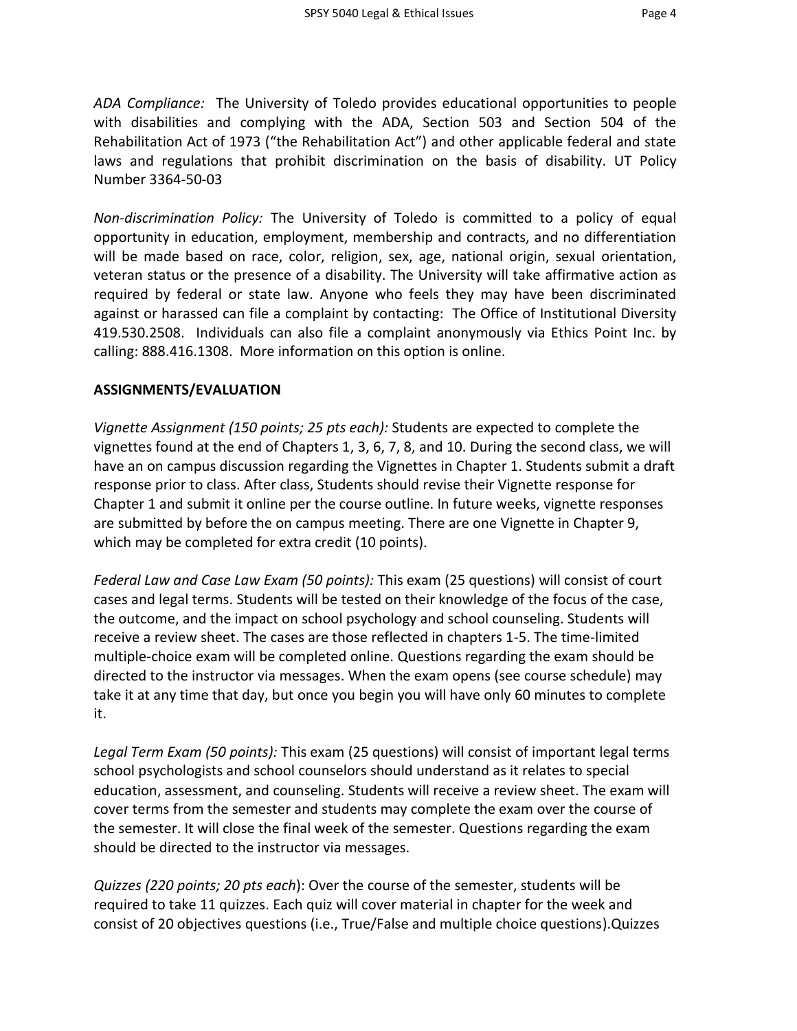*ADA Compliance:* The University of Toledo provides educational opportunities to people with disabilities and complying with the ADA, Section 503 and Section 504 of the Rehabilitation Act of 1973 ("the Rehabilitation Act") and other applicable federal and state laws and regulations that prohibit discrimination on the basis of disability. UT Policy Number 3364-50-03

*Non-discrimination Policy:* The University of Toledo is committed to a policy of equal opportunity in education, employment, membership and contracts, and no differentiation will be made based on race, color, religion, sex, age, national origin, sexual orientation, veteran status or the presence of a disability. The University will take affirmative action as required by federal or state law. Anyone who feels they may have been discriminated against or harassed can file a complaint by contacting: The Office of Institutional Diversity 419.530.2508. Individuals can also file a complaint anonymously via Ethics Point Inc. by calling: 888.416.1308. More information on this option is online.

#### **ASSIGNMENTS/EVALUATION**

*Vignette Assignment (150 points; 25 pts each):* Students are expected to complete the vignettes found at the end of Chapters 1, 3, 6, 7, 8, and 10. During the second class, we will have an on campus discussion regarding the Vignettes in Chapter 1. Students submit a draft response prior to class. After class, Students should revise their Vignette response for Chapter 1 and submit it online per the course outline. In future weeks, vignette responses are submitted by before the on campus meeting. There are one Vignette in Chapter 9, which may be completed for extra credit (10 points).

*Federal Law and Case Law Exam (50 points):* This exam (25 questions) will consist of court cases and legal terms. Students will be tested on their knowledge of the focus of the case, the outcome, and the impact on school psychology and school counseling. Students will receive a review sheet. The cases are those reflected in chapters 1-5. The time-limited multiple-choice exam will be completed online. Questions regarding the exam should be directed to the instructor via messages. When the exam opens (see course schedule) may take it at any time that day, but once you begin you will have only 60 minutes to complete it.

*Legal Term Exam (50 points):* This exam (25 questions) will consist of important legal terms school psychologists and school counselors should understand as it relates to special education, assessment, and counseling. Students will receive a review sheet. The exam will cover terms from the semester and students may complete the exam over the course of the semester. It will close the final week of the semester. Questions regarding the exam should be directed to the instructor via messages.

*Quizzes (220 points; 20 pts each*): Over the course of the semester, students will be required to take 11 quizzes. Each quiz will cover material in chapter for the week and consist of 20 objectives questions (i.e., True/False and multiple choice questions).Quizzes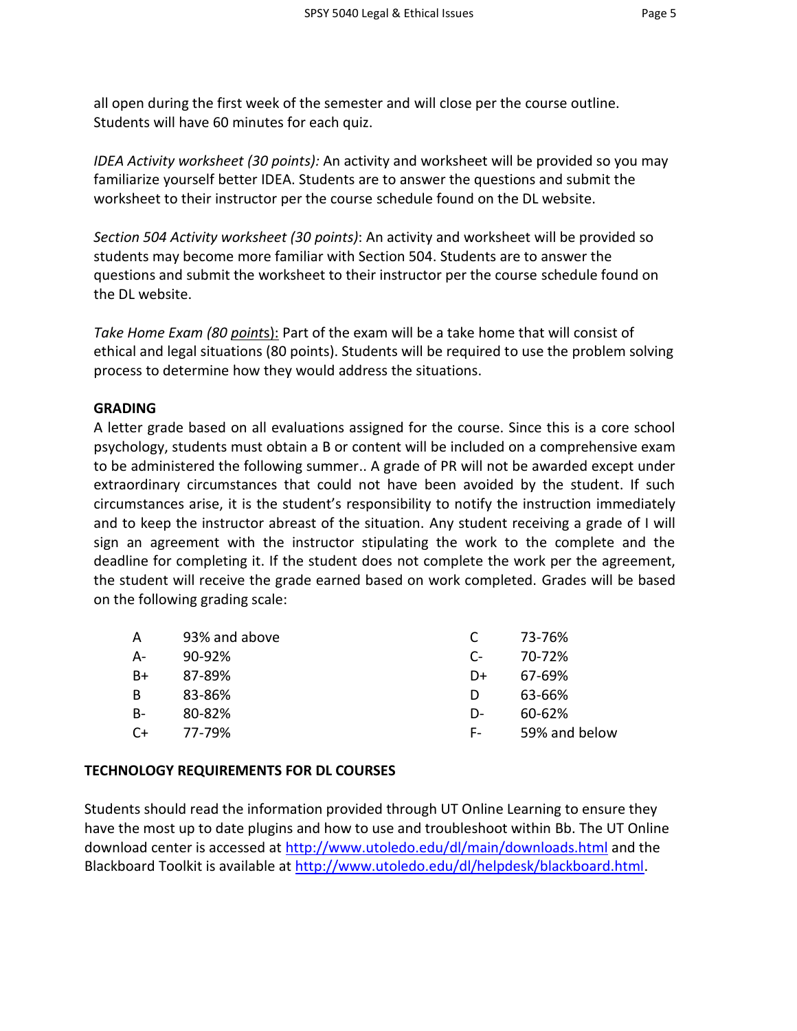all open during the first week of the semester and will close per the course outline. Students will have 60 minutes for each quiz.

*IDEA Activity worksheet (30 points):* An activity and worksheet will be provided so you may familiarize yourself better IDEA. Students are to answer the questions and submit the worksheet to their instructor per the course schedule found on the DL website.

*Section 504 Activity worksheet (30 points)*: An activity and worksheet will be provided so students may become more familiar with Section 504. Students are to answer the questions and submit the worksheet to their instructor per the course schedule found on the DL website.

*Take Home Exam (80 point*s): Part of the exam will be a take home that will consist of ethical and legal situations (80 points). Students will be required to use the problem solving process to determine how they would address the situations.

#### **GRADING**

A letter grade based on all evaluations assigned for the course. Since this is a core school psychology, students must obtain a B or content will be included on a comprehensive exam to be administered the following summer.. A grade of PR will not be awarded except under extraordinary circumstances that could not have been avoided by the student. If such circumstances arise, it is the student's responsibility to notify the instruction immediately and to keep the instructor abreast of the situation. Any student receiving a grade of I will sign an agreement with the instructor stipulating the work to the complete and the deadline for completing it. If the student does not complete the work per the agreement, the student will receive the grade earned based on work completed. Grades will be based on the following grading scale:

| A         | 93% and above |              | 73-76%        |
|-----------|---------------|--------------|---------------|
| А-        | $90 - 92%$    | $\mathsf{C}$ | 70-72%        |
| B+        | 87-89%        | D+           | 67-69%        |
| B         | 83-86%        | D            | 63-66%        |
| <b>B-</b> | 80-82%        | D-           | 60-62%        |
| $C+$      | 77-79%        | F -          | 59% and below |

#### **TECHNOLOGY REQUIREMENTS FOR DL COURSES**

Students should read the information provided through UT Online Learning to ensure they have the most up to date plugins and how to use and troubleshoot within Bb. The UT Online download center is accessed at<http://www.utoledo.edu/dl/main/downloads.html> and the Blackboard Toolkit is available a[t http://www.utoledo.edu/dl/helpdesk/blackboard.html.](http://www.utoledo.edu/dl/helpdesk/blackboard.html)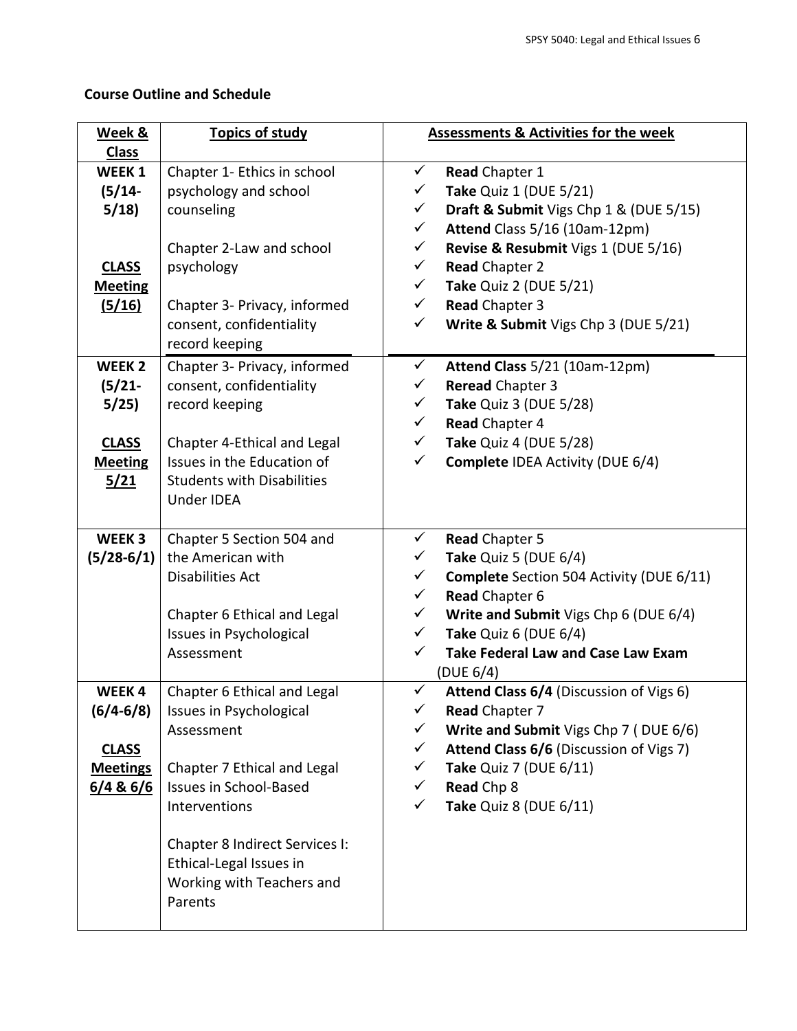# **Course Outline and Schedule**

| Week &            | <b>Topics of study</b>            | <b>Assessments &amp; Activities for the week</b> |                                                 |
|-------------------|-----------------------------------|--------------------------------------------------|-------------------------------------------------|
| <b>Class</b>      |                                   |                                                  |                                                 |
| <b>WEEK1</b>      | Chapter 1- Ethics in school       | $\checkmark$                                     | Read Chapter 1                                  |
| $(5/14-$          | psychology and school             | $\checkmark$                                     | Take Quiz 1 (DUE 5/21)                          |
| 5/18              | counseling                        | $\checkmark$                                     | Draft & Submit Vigs Chp 1 & (DUE 5/15)          |
|                   |                                   | $\checkmark$                                     | Attend Class 5/16 (10am-12pm)                   |
|                   | Chapter 2-Law and school          | $\checkmark$                                     | Revise & Resubmit Vigs 1 (DUE 5/16)             |
| <b>CLASS</b>      | psychology                        | $\checkmark$                                     | <b>Read Chapter 2</b>                           |
| <b>Meeting</b>    |                                   | ✓                                                | <b>Take Quiz 2 (DUE 5/21)</b>                   |
| (5/16)            | Chapter 3- Privacy, informed      | $\checkmark$                                     | Read Chapter 3                                  |
|                   | consent, confidentiality          | $\checkmark$                                     | Write & Submit Vigs Chp 3 (DUE 5/21)            |
|                   | record keeping                    |                                                  |                                                 |
| WEEK <sub>2</sub> | Chapter 3- Privacy, informed      | $\checkmark$                                     | Attend Class 5/21 (10am-12pm)                   |
| $(5/21 -$         | consent, confidentiality          | $\checkmark$                                     | Reread Chapter 3                                |
| 5/25              | record keeping                    | ✓                                                | Take Quiz 3 (DUE 5/28)                          |
|                   |                                   | $\checkmark$                                     | Read Chapter 4                                  |
| <b>CLASS</b>      | Chapter 4-Ethical and Legal       | $\checkmark$                                     | Take Quiz 4 (DUE 5/28)                          |
| <b>Meeting</b>    | Issues in the Education of        | ✓                                                | <b>Complete IDEA Activity (DUE 6/4)</b>         |
| 5/21              | <b>Students with Disabilities</b> |                                                  |                                                 |
|                   | Under IDEA                        |                                                  |                                                 |
|                   |                                   |                                                  |                                                 |
| WEEK 3            | Chapter 5 Section 504 and         | $\checkmark$                                     | Read Chapter 5                                  |
| $(5/28-6/1)$      | the American with                 | $\checkmark$                                     | Take Quiz 5 (DUE 6/4)                           |
|                   | <b>Disabilities Act</b>           | $\checkmark$                                     | <b>Complete</b> Section 504 Activity (DUE 6/11) |
|                   |                                   | $\checkmark$                                     | Read Chapter 6                                  |
|                   | Chapter 6 Ethical and Legal       | $\checkmark$                                     | Write and Submit Vigs Chp 6 (DUE 6/4)           |
|                   | <b>Issues in Psychological</b>    | $\checkmark$                                     | Take Quiz 6 (DUE 6/4)                           |
|                   | Assessment                        | $\checkmark$                                     | <b>Take Federal Law and Case Law Exam</b>       |
|                   |                                   |                                                  | (DUE 6/4)                                       |
| WEEK4             | Chapter 6 Ethical and Legal       | $\checkmark$                                     | Attend Class 6/4 (Discussion of Vigs 6)         |
| $(6/4 - 6/8)$     | Issues in Psychological           | $\checkmark$                                     | Read Chapter 7                                  |
|                   | Assessment                        | $\checkmark$                                     | Write and Submit Vigs Chp 7 (DUE 6/6)           |
| <b>CLASS</b>      |                                   | $\checkmark$                                     | Attend Class 6/6 (Discussion of Vigs 7)         |
| <b>Meetings</b>   | Chapter 7 Ethical and Legal       | $\checkmark$                                     | Take Quiz 7 (DUE 6/11)                          |
| 6/4 & 6/6         | <b>Issues in School-Based</b>     | $\checkmark$                                     | Read Chp 8                                      |
|                   | Interventions                     | $\checkmark$                                     | Take Quiz 8 (DUE 6/11)                          |
|                   |                                   |                                                  |                                                 |
|                   | Chapter 8 Indirect Services I:    |                                                  |                                                 |
|                   | Ethical-Legal Issues in           |                                                  |                                                 |
|                   | Working with Teachers and         |                                                  |                                                 |
|                   | Parents                           |                                                  |                                                 |
|                   |                                   |                                                  |                                                 |